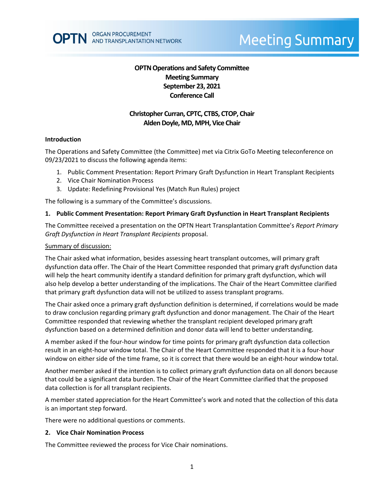# **OPTN Operations and Safety Committee Meeting Summary September 23, 2021 Conference Call**

# **Christopher Curran, CPTC, CTBS, CTOP, Chair Alden Doyle, MD, MPH, Vice Chair**

### **Introduction**

The Operations and Safety Committee (the Committee) met via Citrix GoTo Meeting teleconference on 09/23/2021 to discuss the following agenda items:

- 1. Public Comment Presentation: Report Primary Graft Dysfunction in Heart Transplant Recipients
- 2. Vice Chair Nomination Process
- 3. Update: Redefining Provisional Yes (Match Run Rules) project

The following is a summary of the Committee's discussions.

### **1. Public Comment Presentation: Report Primary Graft Dysfunction in Heart Transplant Recipients**

The Committee received a presentation on the OPTN Heart Transplantation Committee's *Report Primary Graft Dysfunction in Heart Transplant Recipients* proposal.

#### Summary of discussion:

The Chair asked what information, besides assessing heart transplant outcomes, will primary graft dysfunction data offer. The Chair of the Heart Committee responded that primary graft dysfunction data will help the heart community identify a standard definition for primary graft dysfunction, which will also help develop a better understanding of the implications. The Chair of the Heart Committee clarified that primary graft dysfunction data will not be utilized to assess transplant programs.

The Chair asked once a primary graft dysfunction definition is determined, if correlations would be made to draw conclusion regarding primary graft dysfunction and donor management. The Chair of the Heart Committee responded that reviewing whether the transplant recipient developed primary graft dysfunction based on a determined definition and donor data will lend to better understanding.

A member asked if the four-hour window for time points for primary graft dysfunction data collection result in an eight-hour window total. The Chair of the Heart Committee responded that it is a four-hour window on either side of the time frame, so it is correct that there would be an eight-hour window total.

Another member asked if the intention is to collect primary graft dysfunction data on all donors because that could be a significant data burden. The Chair of the Heart Committee clarified that the proposed data collection is for all transplant recipients.

A member stated appreciation for the Heart Committee's work and noted that the collection of this data is an important step forward.

There were no additional questions or comments.

#### **2. Vice Chair Nomination Process**

The Committee reviewed the process for Vice Chair nominations.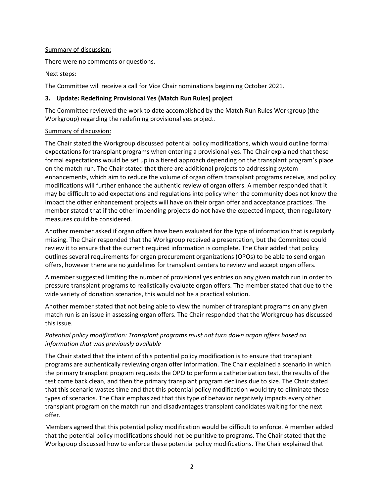### Summary of discussion:

There were no comments or questions.

## Next steps:

The Committee will receive a call for Vice Chair nominations beginning October 2021.

## **3. Update: Redefining Provisional Yes (Match Run Rules) project**

The Committee reviewed the work to date accomplished by the Match Run Rules Workgroup (the Workgroup) regarding the redefining provisional yes project.

### Summary of discussion:

The Chair stated the Workgroup discussed potential policy modifications, which would outline formal expectations for transplant programs when entering a provisional yes. The Chair explained that these formal expectations would be set up in a tiered approach depending on the transplant program's place on the match run. The Chair stated that there are additional projects to addressing system enhancements, which aim to reduce the volume of organ offers transplant programs receive, and policy modifications will further enhance the authentic review of organ offers. A member responded that it may be difficult to add expectations and regulations into policy when the community does not know the impact the other enhancement projects will have on their organ offer and acceptance practices. The member stated that if the other impending projects do not have the expected impact, then regulatory measures could be considered.

Another member asked if organ offers have been evaluated for the type of information that is regularly missing. The Chair responded that the Workgroup received a presentation, but the Committee could review it to ensure that the current required information is complete. The Chair added that policy outlines several requirements for organ procurement organizations (OPOs) to be able to send organ offers, however there are no guidelines for transplant centers to review and accept organ offers.

A member suggested limiting the number of provisional yes entries on any given match run in order to pressure transplant programs to realistically evaluate organ offers. The member stated that due to the wide variety of donation scenarios, this would not be a practical solution.

Another member stated that not being able to view the number of transplant programs on any given match run is an issue in assessing organ offers. The Chair responded that the Workgroup has discussed this issue.

# *Potential policy modification: Transplant programs must not turn down organ offers based on information that was previously available*

The Chair stated that the intent of this potential policy modification is to ensure that transplant programs are authentically reviewing organ offer information. The Chair explained a scenario in which the primary transplant program requests the OPO to perform a catheterization test, the results of the test come back clean, and then the primary transplant program declines due to size. The Chair stated that this scenario wastes time and that this potential policy modification would try to eliminate those types of scenarios. The Chair emphasized that this type of behavior negatively impacts every other transplant program on the match run and disadvantages transplant candidates waiting for the next offer.

Members agreed that this potential policy modification would be difficult to enforce. A member added that the potential policy modifications should not be punitive to programs. The Chair stated that the Workgroup discussed how to enforce these potential policy modifications. The Chair explained that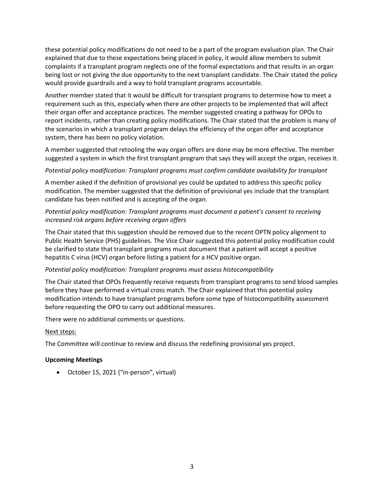these potential policy modifications do not need to be a part of the program evaluation plan. The Chair explained that due to these expectations being placed in policy, it would allow members to submit complaints if a transplant program neglects one of the formal expectations and that results in an organ being lost or not giving the due opportunity to the next transplant candidate. The Chair stated the policy would provide guardrails and a way to hold transplant programs accountable.

Another member stated that it would be difficult for transplant programs to determine how to meet a requirement such as this, especially when there are other projects to be implemented that will affect their organ offer and acceptance practices. The member suggested creating a pathway for OPOs to report incidents, rather than creating policy modifications. The Chair stated that the problem is many of the scenarios in which a transplant program delays the efficiency of the organ offer and acceptance system, there has been no policy violation.

A member suggested that retooling the way organ offers are done may be more effective. The member suggested a system in which the first transplant program that says they will accept the organ, receives it.

### *Potential policy modification: Transplant programs must confirm candidate availability for transplant*

A member asked if the definition of provisional yes could be updated to address this specific policy modification. The member suggested that the definition of provisional yes include that the transplant candidate has been notified and is accepting of the organ.

# *Potential policy modification: Transplant programs must document a patient's consent to receiving increased risk organs before receiving organ offers*

The Chair stated that this suggestion should be removed due to the recent OPTN policy alignment to Public Health Service (PHS) guidelines. The Vice Chair suggested this potential policy modification could be clarified to state that transplant programs must document that a patient will accept a positive hepatitis C virus (HCV) organ before listing a patient for a HCV positive organ.

# *Potential policy modification: Transplant programs must assess histocompatibility*

The Chair stated that OPOs frequently receive requests from transplant programs to send blood samples before they have performed a virtual cross match. The Chair explained that this potential policy modification intends to have transplant programs before some type of histocompatibility assessment before requesting the OPO to carry out additional measures.

There were no additional comments or questions.

### Next steps:

The Committee will continue to review and discuss the redefining provisional yes project.

### **Upcoming Meetings**

October 15, 2021 ("in-person", virtual)